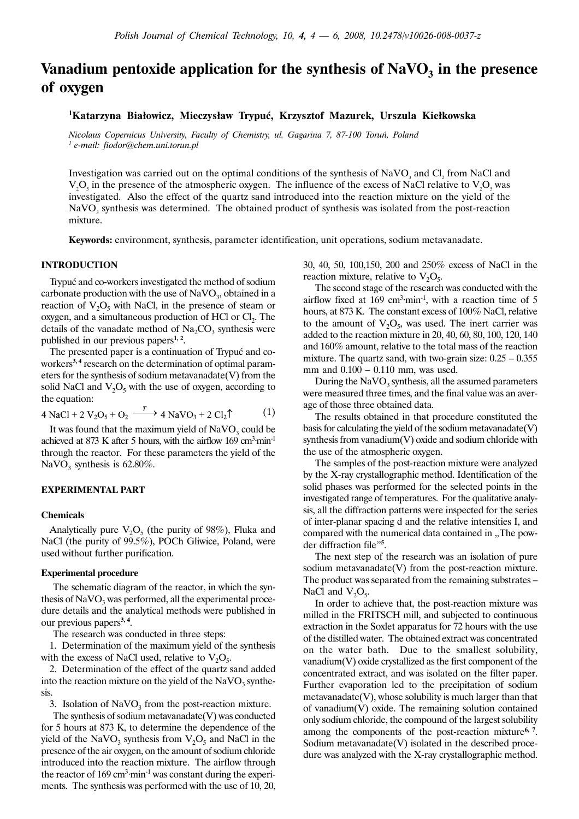# Vanadium pentoxide application for the synthesis of  $NaVO<sub>3</sub>$  in the presence of oxygen

# <sup>1</sup>Katarzyna Białowicz, Mieczysław Trypuć, Krzysztof Mazurek, Urszula Kiełkowska

Nicolaus Copernicus University, Faculty of Chemistry, ul. Gagarina 7, 87-100 Toruñ, Poland  $<sup>1</sup>$  e-mail: fiodor@chem.uni.torun.pl</sup>

Investigation was carried out on the optimal conditions of the synthesis of  $\text{NaVO}_3$  and  $\text{Cl}_2$  from NaCl and  $V_2O_5$  in the presence of the atmospheric oxygen. The influence of the excess of NaCl relative to  $V_2O_5$  was investigated. Also the effect of the quartz sand introduced into the reaction mixture on the yield of the NaVO<sub>3</sub> synthesis was determined. The obtained product of synthesis was isolated from the post-reaction mixture.

Keywords: environment, synthesis, parameter identification, unit operations, sodium metavanadate.

## INTRODUCTION

Trypuć and co-workers investigated the method of sodium carbonate production with the use of  $\text{NaVO}_3$ , obtained in a reaction of  $V_2O_5$  with NaCl, in the presence of steam or oxygen, and a simultaneous production of HCl or Cl<sub>2</sub>. The details of the vanadate method of  $Na_2CO_3$  synthesis were published in our previous papers $1, 2$ .

The presented paper is a continuation of Trypuć and coworkers<sup>3,4</sup> research on the determination of optimal parameters for the synthesis of sodium metavanadate(V) from the solid NaCl and  $V_2O_5$  with the use of oxygen, according to the equation:

$$
4 \text{ NaCl} + 2 \text{ V}_2\text{O}_5 + \text{O}_2 \xrightarrow{\text{T}} 4 \text{ NaVO}_3 + 2 \text{ Cl}_2 \uparrow
$$
 (1)

It was found that the maximum yield of  $NaVO<sub>3</sub>$  could be achieved at 873 K after 5 hours, with the airflow  $169 \text{ cm}^3 \text{·min}^{-1}$ through the reactor. For these parameters the yield of the NaVO<sub>3</sub> synthesis is  $62.80\%$ .

## EXPERIMENTAL PART

#### **Chemicals**

Analytically pure  $V_2O_5$  (the purity of 98%), Fluka and NaCl (the purity of 99.5%), POCh Gliwice, Poland, were used without further purification.

#### **Experimental procedure**

The schematic diagram of the reactor, in which the synthesis of  $NaVO<sub>3</sub>$  was performed, all the experimental procedure details and the analytical methods were published in our previous papers<sup>3, 4</sup>.

The research was conducted in three steps:

1. Determination of the maximum yield of the synthesis with the excess of NaCl used, relative to  $V_2O_5$ .

2. Determination of the effect of the quartz sand added into the reaction mixture on the yield of the  $NaVO<sub>3</sub>$  synthesis.

3. Isolation of  $NaVO<sub>3</sub>$  from the post-reaction mixture.

The synthesis of sodium metavanadate(V) was conducted for 5 hours at 873 K, to determine the dependence of the yield of the NaVO<sub>3</sub> synthesis from  $V_2O_5$  and NaCl in the presence of the air oxygen, on the amount of sodium chloride introduced into the reaction mixture. The airflow through the reactor of 169 cm<sup>3</sup>·min<sup>-1</sup> was constant during the experiments. The synthesis was performed with the use of 10, 20, 30, 40, 50, 100,150, 200 and 250% excess of NaCl in the reaction mixture, relative to  $V_2O_5$ .

The second stage of the research was conducted with the airflow fixed at  $169 \text{ cm}^3 \cdot \text{min}^{-1}$ , with a reaction time of 5 hours, at 873 K. The constant excess of 100% NaCl, relative to the amount of  $V_2O_5$ , was used. The inert carrier was added to the reaction mixture in 20, 40, 60, 80, 100, 120, 140 and 160% amount, relative to the total mass of the reaction mixture. The quartz sand, with two-grain size: 0.25 – 0.355 mm and 0.100 – 0.110 mm, was used.

During the  $NaVO<sub>3</sub>$  synthesis, all the assumed parameters were measured three times, and the final value was an average of those three obtained data.

The results obtained in that procedure constituted the basis for calculating the yield of the sodium metavanadate(V) synthesis from vanadium(V) oxide and sodium chloride with the use of the atmospheric oxygen.

The samples of the post-reaction mixture were analyzed by the X-ray crystallographic method. Identification of the solid phases was performed for the selected points in the investigated range of temperatures. For the qualitative analysis, all the diffraction patterns were inspected for the series of inter-planar spacing d and the relative intensities I, and compared with the numerical data contained in "The powder diffraction file"<sup>5</sup> .

The next step of the research was an isolation of pure sodium metavanadate(V) from the post-reaction mixture. The product was separated from the remaining substrates – NaCl and  $V_2O_5$ .

In order to achieve that, the post-reaction mixture was milled in the FRITSCH mill, and subjected to continuous extraction in the Soxlet apparatus for 72 hours with the use of the distilled water. The obtained extract was concentrated on the water bath. Due to the smallest solubility, vanadium(V) oxide crystallized as the first component of the concentrated extract, and was isolated on the filter paper. Further evaporation led to the precipitation of sodium metavanadate(V), whose solubility is much larger than that of vanadium(V) oxide. The remaining solution contained only sodium chloride, the compound of the largest solubility among the components of the post-reaction mixture<sup>6, 7</sup>. Sodium metavanadate(V) isolated in the described procedure was analyzed with the X-ray crystallographic method.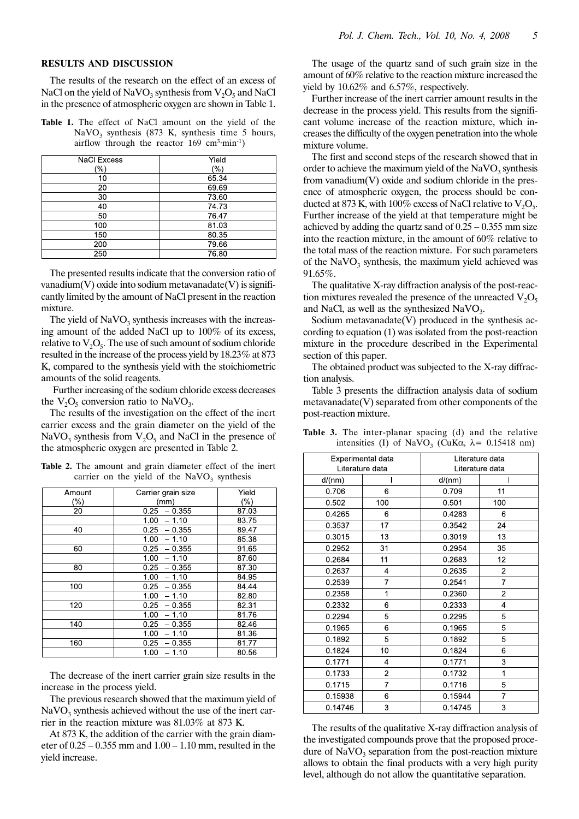#### RESULTS AND DISCUSSION

The results of the research on the effect of an excess of NaCl on the yield of NaVO<sub>3</sub> synthesis from  $V_2O_5$  and NaCl in the presence of atmospheric oxygen are shown in Table 1.

Table 1. The effect of NaCl amount on the yield of the NaVO<sub>3</sub> synthesis (873 K, synthesis time 5 hours, airflow through the reactor  $169 \text{ cm}^3 \cdot \text{min}^{-1}$ )

| <b>NaCl Excess</b> | Yield |  |
|--------------------|-------|--|
| (%)                | (%)   |  |
| 10                 | 65.34 |  |
| 20                 | 69.69 |  |
| 30                 | 73.60 |  |
| 40                 | 74.73 |  |
| 50                 | 76.47 |  |
| 100                | 81.03 |  |
| 150                | 80.35 |  |
| 200                | 79.66 |  |
| 250                | 76.80 |  |

The presented results indicate that the conversion ratio of vanadium $(V)$  oxide into sodium metavanadate $(V)$  is significantly limited by the amount of NaCl present in the reaction mixture.

The yield of  $NaVO<sub>3</sub>$  synthesis increases with the increasing amount of the added NaCl up to 100% of its excess, relative to  $V_2O_5$ . The use of such amount of sodium chloride resulted in the increase of the process yield by 18.23% at 873 K, compared to the synthesis yield with the stoichiometric amounts of the solid reagents.

Further increasing of the sodium chloride excess decreases the  $V_2O_5$  conversion ratio to NaVO<sub>3</sub>.

The results of the investigation on the effect of the inert carrier excess and the grain diameter on the yield of the NaVO<sub>3</sub> synthesis from  $V_2O_5$  and NaCl in the presence of the atmospheric oxygen are presented in Table 2.

Table 2. The amount and grain diameter effect of the inert carrier on the yield of the  $NaVO<sub>3</sub>$  synthesis

| Amount | Carrier grain size | Yield   |
|--------|--------------------|---------|
| (%)    | (mm)               | $(\% )$ |
| 20     | 0.25<br>$-0.355$   | 87.03   |
|        | 1.00<br>$-1.10$    | 83.75   |
| 40     | $0.25 - 0.355$     | 89.47   |
|        | 1.00<br>$-1.10$    | 85.38   |
| 60     | $-0.355$<br>0.25   | 91.65   |
|        | 1.00<br>$-1.10$    | 87.60   |
| 80     | 0.25<br>$-0.355$   | 87.30   |
|        | 1.00<br>$-1.10$    | 84.95   |
| 100    | 0.25<br>$-0.355$   | 84.44   |
|        | 1.00<br>$-1.10$    | 82.80   |
| 120    | 0.25<br>$-0.355$   | 82.31   |
|        | 1.00<br>$-1.10$    | 81.76   |
| 140    | 0.25<br>$-0.355$   | 82.46   |
|        | 1.00<br>$-1.10$    | 81.36   |
| 160    | 0.25<br>$-0.355$   | 81.77   |
|        | 1.00<br>$-1.10$    | 80.56   |

The decrease of the inert carrier grain size results in the increase in the process yield.

The previous research showed that the maximum yield of  $NaVO<sub>3</sub>$  synthesis achieved without the use of the inert carrier in the reaction mixture was 81.03% at 873 K.

At 873 K, the addition of the carrier with the grain diameter of 0.25 – 0.355 mm and 1.00 – 1.10 mm, resulted in the yield increase.

The usage of the quartz sand of such grain size in the amount of 60% relative to the reaction mixture increased the yield by 10.62% and 6.57%, respectively.

Further increase of the inert carrier amount results in the decrease in the process yield. This results from the significant volume increase of the reaction mixture, which increases the difficulty of the oxygen penetration into the whole mixture volume.

The first and second steps of the research showed that in order to achieve the maximum yield of the  $NaVO<sub>3</sub>$  synthesis from vanadium(V) oxide and sodium chloride in the presence of atmospheric oxygen, the process should be conducted at 873 K, with 100% excess of NaCl relative to  $V_2O_5$ . Further increase of the yield at that temperature might be achieved by adding the quartz sand of  $0.25 - 0.355$  mm size into the reaction mixture, in the amount of 60% relative to the total mass of the reaction mixture. For such parameters of the  $NaVO<sub>3</sub>$  synthesis, the maximum yield achieved was 91.65%.

The qualitative X-ray diffraction analysis of the post-reaction mixtures revealed the presence of the unreacted  $V_2O_5$ and NaCl, as well as the synthesized NaVO<sub>3</sub>.

Sodium metavanadate $(V)$  produced in the synthesis according to equation (1) was isolated from the post-reaction mixture in the procedure described in the Experimental section of this paper.

The obtained product was subjected to the X-ray diffraction analysis.

Table 3 presents the diffraction analysis data of sodium metavanadate(V) separated from other components of the post-reaction mixture.

| Experimental data |                | Literature data |                |
|-------------------|----------------|-----------------|----------------|
| Literature data   |                | Literature data |                |
| d/(nm)            |                | d/(nm)          |                |
| 0.706             | 6              | 0.709           | 11             |
| 0.502             | 100            | 0.501           | 100            |
| 0.4265            | 6              | 0.4283          | 6              |
| 0.3537            | 17             | 0.3542          | 24             |
| 0.3015            | 13             | 0.3019          | 13             |
| 0.2952            | 31             | 0.2954          | 35             |
| 0.2684            | 11             | 0.2683          | 12             |
| 0.2637            | 4              | 0.2635          | 2              |
| 0.2539            | 7              | 0.2541          | 7              |
| 0.2358            | 1              | 0.2360          | $\overline{2}$ |
| 0.2332            | 6              | 0.2333          | 4              |
| 0.2294            | 5              | 0.2295          | 5              |
| 0.1965            | 6              | 0.1965          | 5              |
| 0.1892            | 5              | 0.1892          | 5              |
| 0.1824            | 10             | 0.1824          | 6              |
| 0.1771            | 4              | 0.1771          | 3              |
| 0.1733            | $\overline{c}$ | 0.1732          | 1              |
| 0.1715            | 7              | 0.1716          | 5              |
| 0.15938           | 6              | 0.15944         | $\overline{7}$ |
| 0.14746           | 3              | 0.14745         | 3              |

Table 3. The inter-planar spacing (d) and the relative intensities (I) of NaVO<sub>3</sub> (CuK $\alpha$ ,  $\lambda$  = 0.15418 nm)

The results of the qualitative X-ray diffraction analysis of the investigated compounds prove that the proposed procedure of  $NaVO<sub>3</sub>$  separation from the post-reaction mixture allows to obtain the final products with a very high purity level, although do not allow the quantitative separation.